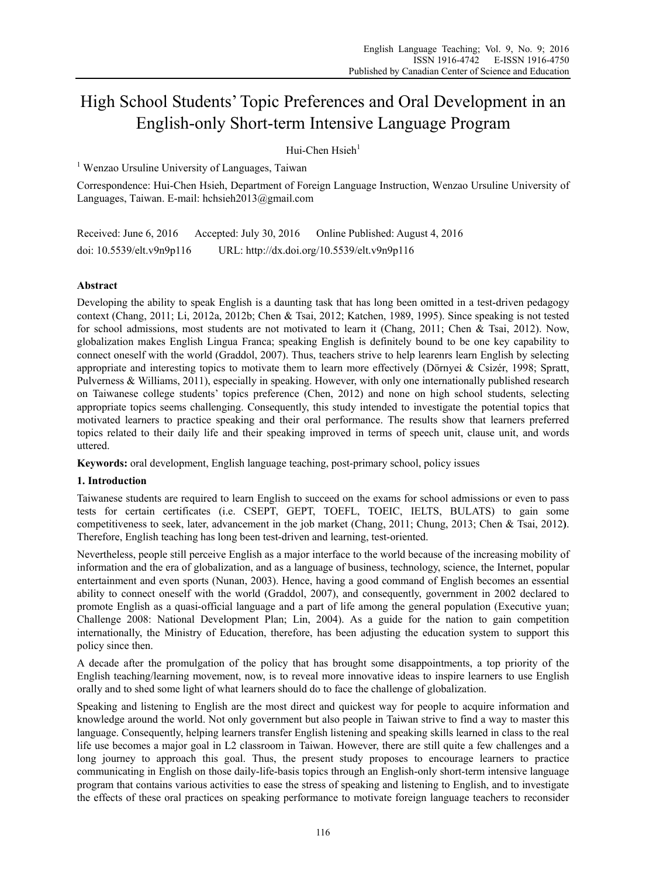# High School Students' Topic Preferences and Oral Development in an English-only Short-term Intensive Language Program

# Hui-Chen  $H$ sieh<sup>1</sup>

<sup>1</sup> Wenzao Ursuline University of Languages, Taiwan

Correspondence: Hui-Chen Hsieh, Department of Foreign Language Instruction, Wenzao Ursuline University of Languages, Taiwan. E-mail: hchsieh2013@gmail.com

Received: June 6, 2016 Accepted: July 30, 2016 Online Published: August 4, 2016 doi: 10.5539/elt.v9n9p116 URL: http://dx.doi.org/10.5539/elt.v9n9p116

# **Abstract**

Developing the ability to speak English is a daunting task that has long been omitted in a test-driven pedagogy context (Chang, 2011; Li, 2012a, 2012b; Chen & Tsai, 2012; Katchen, 1989, 1995). Since speaking is not tested for school admissions, most students are not motivated to learn it (Chang, 2011; Chen & Tsai, 2012). Now, globalization makes English Lingua Franca; speaking English is definitely bound to be one key capability to connect oneself with the world (Graddol, 2007). Thus, teachers strive to help learenrs learn English by selecting appropriate and interesting topics to motivate them to learn more effectively (Dörnyei & Csizér, 1998; Spratt, Pulverness & Williams, 2011), especially in speaking. However, with only one internationally published research on Taiwanese college students' topics preference (Chen, 2012) and none on high school students, selecting appropriate topics seems challenging. Consequently, this study intended to investigate the potential topics that motivated learners to practice speaking and their oral performance. The results show that learners preferred topics related to their daily life and their speaking improved in terms of speech unit, clause unit, and words uttered.

**Keywords:** oral development, English language teaching, post-primary school, policy issues

# **1. Introduction**

Taiwanese students are required to learn English to succeed on the exams for school admissions or even to pass tests for certain certificates (i.e. CSEPT, GEPT, TOEFL, TOEIC, IELTS, BULATS) to gain some competitiveness to seek, later, advancement in the job market (Chang, 2011; Chung, 2013; Chen & Tsai, 2012**)**. Therefore, English teaching has long been test-driven and learning, test-oriented.

Nevertheless, people still perceive English as a major interface to the world because of the increasing mobility of information and the era of globalization, and as a language of business, technology, science, the Internet, popular entertainment and even sports (Nunan, 2003). Hence, having a good command of English becomes an essential ability to connect oneself with the world (Graddol, 2007), and consequently, government in 2002 declared to promote English as a quasi-official language and a part of life among the general population (Executive yuan; Challenge 2008: National Development Plan; Lin, 2004). As a guide for the nation to gain competition internationally, the Ministry of Education, therefore, has been adjusting the education system to support this policy since then.

A decade after the promulgation of the policy that has brought some disappointments, a top priority of the English teaching/learning movement, now, is to reveal more innovative ideas to inspire learners to use English orally and to shed some light of what learners should do to face the challenge of globalization.

Speaking and listening to English are the most direct and quickest way for people to acquire information and knowledge around the world. Not only government but also people in Taiwan strive to find a way to master this language. Consequently, helping learners transfer English listening and speaking skills learned in class to the real life use becomes a major goal in L2 classroom in Taiwan. However, there are still quite a few challenges and a long journey to approach this goal. Thus, the present study proposes to encourage learners to practice communicating in English on those daily-life-basis topics through an English-only short-term intensive language program that contains various activities to ease the stress of speaking and listening to English, and to investigate the effects of these oral practices on speaking performance to motivate foreign language teachers to reconsider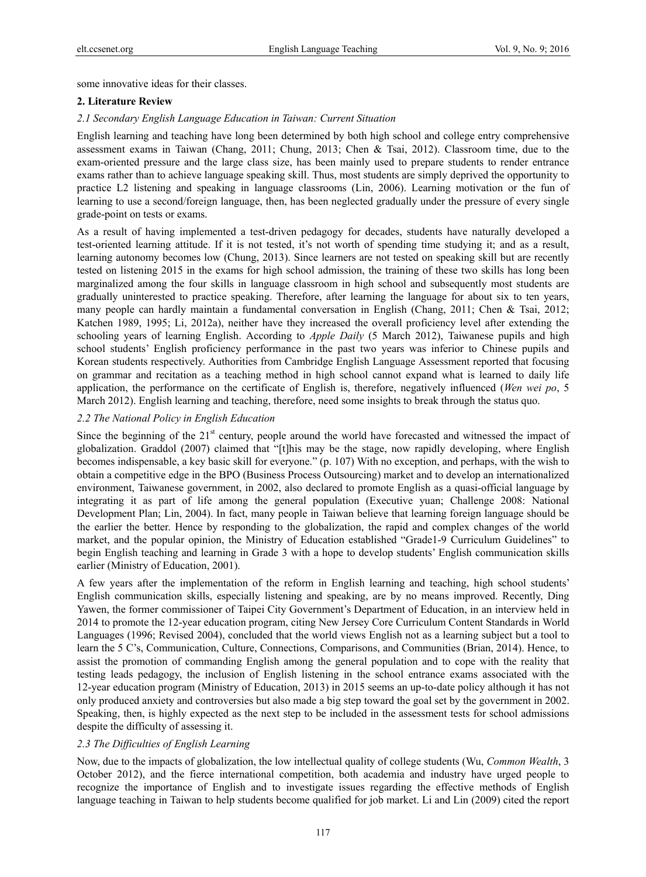some innovative ideas for their classes.

# **2. Literature Review**

## *2.1 Secondary English Language Education in Taiwan: Current Situation*

English learning and teaching have long been determined by both high school and college entry comprehensive assessment exams in Taiwan (Chang, 2011; Chung, 2013; Chen & Tsai, 2012). Classroom time, due to the exam-oriented pressure and the large class size, has been mainly used to prepare students to render entrance exams rather than to achieve language speaking skill. Thus, most students are simply deprived the opportunity to practice L2 listening and speaking in language classrooms (Lin, 2006). Learning motivation or the fun of learning to use a second/foreign language, then, has been neglected gradually under the pressure of every single grade-point on tests or exams.

As a result of having implemented a test-driven pedagogy for decades, students have naturally developed a test-oriented learning attitude. If it is not tested, it's not worth of spending time studying it; and as a result, learning autonomy becomes low (Chung, 2013). Since learners are not tested on speaking skill but are recently tested on listening 2015 in the exams for high school admission, the training of these two skills has long been marginalized among the four skills in language classroom in high school and subsequently most students are gradually uninterested to practice speaking. Therefore, after learning the language for about six to ten years, many people can hardly maintain a fundamental conversation in English (Chang, 2011; Chen & Tsai, 2012; Katchen 1989, 1995; Li, 2012a), neither have they increased the overall proficiency level after extending the schooling years of learning English. According to *Apple Daily* (5 March 2012), Taiwanese pupils and high school students' English proficiency performance in the past two years was inferior to Chinese pupils and Korean students respectively. Authorities from Cambridge English Language Assessment reported that focusing on grammar and recitation as a teaching method in high school cannot expand what is learned to daily life application, the performance on the certificate of English is, therefore, negatively influenced (*Wen wei po*, 5 March 2012). English learning and teaching, therefore, need some insights to break through the status quo.

#### *2.2 The National Policy in English Education*

Since the beginning of the 21<sup>st</sup> century, people around the world have forecasted and witnessed the impact of globalization. Graddol (2007) claimed that "[t]his may be the stage, now rapidly developing, where English becomes indispensable, a key basic skill for everyone." (p. 107) With no exception, and perhaps, with the wish to obtain a competitive edge in the BPO (Business Process Outsourcing) market and to develop an internationalized environment, Taiwanese government, in 2002, also declared to promote English as a quasi-official language by integrating it as part of life among the general population (Executive yuan; Challenge 2008: National Development Plan; Lin, 2004). In fact, many people in Taiwan believe that learning foreign language should be the earlier the better. Hence by responding to the globalization, the rapid and complex changes of the world market, and the popular opinion, the Ministry of Education established "Grade1-9 Curriculum Guidelines" to begin English teaching and learning in Grade 3 with a hope to develop students' English communication skills earlier (Ministry of Education, 2001).

A few years after the implementation of the reform in English learning and teaching, high school students' English communication skills, especially listening and speaking, are by no means improved. Recently, Ding Yawen, the former commissioner of Taipei City Government's Department of Education, in an interview held in 2014 to promote the 12-year education program, citing New Jersey Core Curriculum Content Standards in World Languages (1996; Revised 2004), concluded that the world views English not as a learning subject but a tool to learn the 5 C's, Communication, Culture, Connections, Comparisons, and Communities (Brian, 2014). Hence, to assist the promotion of commanding English among the general population and to cope with the reality that testing leads pedagogy, the inclusion of English listening in the school entrance exams associated with the 12-year education program (Ministry of Education, 2013) in 2015 seems an up-to-date policy although it has not only produced anxiety and controversies but also made a big step toward the goal set by the government in 2002. Speaking, then, is highly expected as the next step to be included in the assessment tests for school admissions despite the difficulty of assessing it.

# *2.3 The Difficulties of English Learning*

Now, due to the impacts of globalization, the low intellectual quality of college students (Wu, *Common Wealth*, 3 October 2012), and the fierce international competition, both academia and industry have urged people to recognize the importance of English and to investigate issues regarding the effective methods of English language teaching in Taiwan to help students become qualified for job market. Li and Lin (2009) cited the report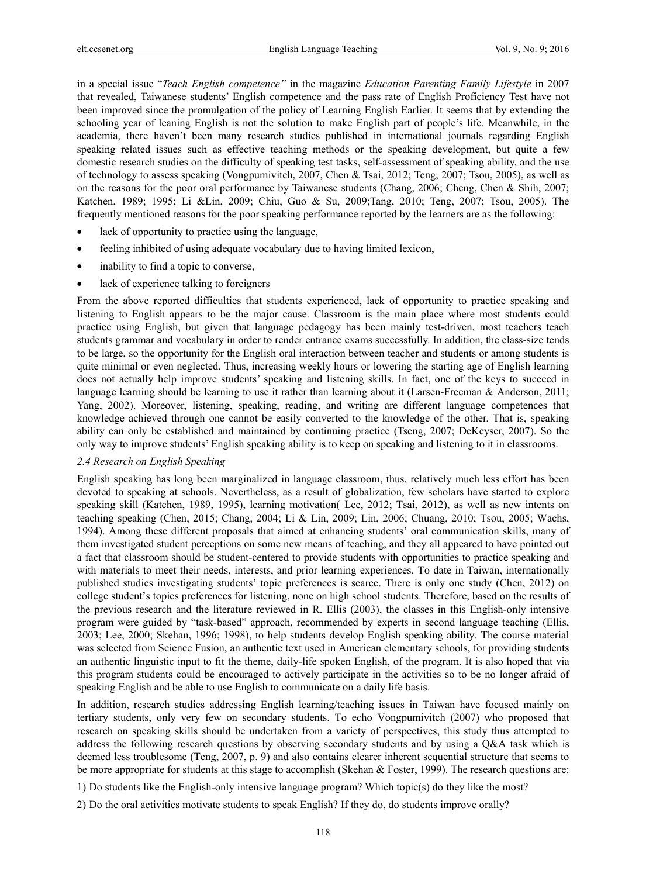in a special issue "*Teach English competence"* in the magazine *Education Parenting Family Lifestyle* in 2007 that revealed, Taiwanese students' English competence and the pass rate of English Proficiency Test have not been improved since the promulgation of the policy of Learning English Earlier. It seems that by extending the schooling year of leaning English is not the solution to make English part of people's life. Meanwhile, in the academia, there haven't been many research studies published in international journals regarding English speaking related issues such as effective teaching methods or the speaking development, but quite a few domestic research studies on the difficulty of speaking test tasks, self-assessment of speaking ability, and the use of technology to assess speaking (Vongpumivitch, 2007, Chen & Tsai, 2012; Teng, 2007; Tsou, 2005), as well as on the reasons for the poor oral performance by Taiwanese students (Chang, 2006; Cheng, Chen & Shih, 2007; Katchen, 1989; 1995; Li &Lin, 2009; Chiu, Guo & Su, 2009;Tang, 2010; Teng, 2007; Tsou, 2005). The frequently mentioned reasons for the poor speaking performance reported by the learners are as the following:

- lack of opportunity to practice using the language,
- feeling inhibited of using adequate vocabulary due to having limited lexicon,
- inability to find a topic to converse,
- lack of experience talking to foreigners

From the above reported difficulties that students experienced, lack of opportunity to practice speaking and listening to English appears to be the major cause. Classroom is the main place where most students could practice using English, but given that language pedagogy has been mainly test-driven, most teachers teach students grammar and vocabulary in order to render entrance exams successfully. In addition, the class-size tends to be large, so the opportunity for the English oral interaction between teacher and students or among students is quite minimal or even neglected. Thus, increasing weekly hours or lowering the starting age of English learning does not actually help improve students' speaking and listening skills. In fact, one of the keys to succeed in language learning should be learning to use it rather than learning about it (Larsen-Freeman & Anderson, 2011; Yang, 2002). Moreover, listening, speaking, reading, and writing are different language competences that knowledge achieved through one cannot be easily converted to the knowledge of the other. That is, speaking ability can only be established and maintained by continuing practice (Tseng, 2007; DeKeyser, 2007). So the only way to improve students' English speaking ability is to keep on speaking and listening to it in classrooms.

#### *2.4 Research on English Speaking*

English speaking has long been marginalized in language classroom, thus, relatively much less effort has been devoted to speaking at schools. Nevertheless, as a result of globalization, few scholars have started to explore speaking skill (Katchen, 1989, 1995), learning motivation( Lee, 2012; Tsai, 2012), as well as new intents on teaching speaking (Chen, 2015; Chang, 2004; Li & Lin, 2009; Lin, 2006; Chuang, 2010; Tsou, 2005; Wachs, 1994). Among these different proposals that aimed at enhancing students' oral communication skills, many of them investigated student perceptions on some new means of teaching, and they all appeared to have pointed out a fact that classroom should be student-centered to provide students with opportunities to practice speaking and with materials to meet their needs, interests, and prior learning experiences. To date in Taiwan, internationally published studies investigating students' topic preferences is scarce. There is only one study (Chen, 2012) on college student's topics preferences for listening, none on high school students. Therefore, based on the results of the previous research and the literature reviewed in R. Ellis (2003), the classes in this English-only intensive program were guided by "task-based" approach, recommended by experts in second language teaching (Ellis, 2003; Lee, 2000; Skehan, 1996; 1998), to help students develop English speaking ability. The course material was selected from Science Fusion, an authentic text used in American elementary schools, for providing students an authentic linguistic input to fit the theme, daily-life spoken English, of the program. It is also hoped that via this program students could be encouraged to actively participate in the activities so to be no longer afraid of speaking English and be able to use English to communicate on a daily life basis.

In addition, research studies addressing English learning/teaching issues in Taiwan have focused mainly on tertiary students, only very few on secondary students. To echo Vongpumivitch (2007) who proposed that research on speaking skills should be undertaken from a variety of perspectives, this study thus attempted to address the following research questions by observing secondary students and by using a Q&A task which is deemed less troublesome (Teng, 2007, p. 9) and also contains clearer inherent sequential structure that seems to be more appropriate for students at this stage to accomplish (Skehan & Foster, 1999). The research questions are:

1) Do students like the English-only intensive language program? Which topic(s) do they like the most?

2) Do the oral activities motivate students to speak English? If they do, do students improve orally?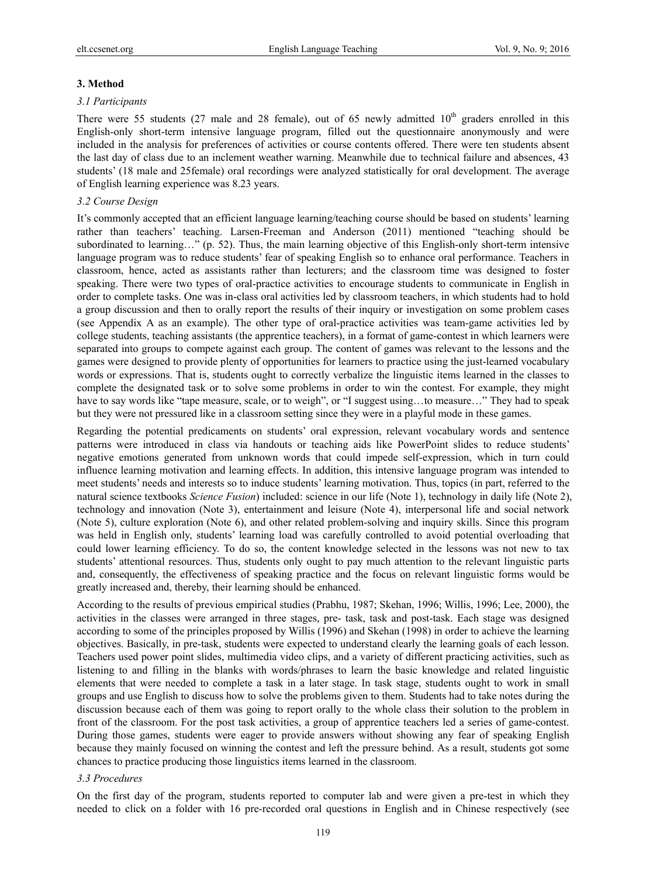#### **3. Method**

#### *3.1 Participants*

There were 55 students (27 male and 28 female), out of 65 newly admitted  $10<sup>th</sup>$  graders enrolled in this English-only short-term intensive language program, filled out the questionnaire anonymously and were included in the analysis for preferences of activities or course contents offered. There were ten students absent the last day of class due to an inclement weather warning. Meanwhile due to technical failure and absences, 43 students' (18 male and 25female) oral recordings were analyzed statistically for oral development. The average of English learning experience was 8.23 years.

#### *3.2 Course Design*

It's commonly accepted that an efficient language learning/teaching course should be based on students' learning rather than teachers' teaching. Larsen-Freeman and Anderson (2011) mentioned "teaching should be subordinated to learning…" (p. 52). Thus, the main learning objective of this English-only short-term intensive language program was to reduce students' fear of speaking English so to enhance oral performance. Teachers in classroom, hence, acted as assistants rather than lecturers; and the classroom time was designed to foster speaking. There were two types of oral-practice activities to encourage students to communicate in English in order to complete tasks. One was in-class oral activities led by classroom teachers, in which students had to hold a group discussion and then to orally report the results of their inquiry or investigation on some problem cases (see Appendix A as an example). The other type of oral-practice activities was team-game activities led by college students, teaching assistants (the apprentice teachers), in a format of game-contest in which learners were separated into groups to compete against each group. The content of games was relevant to the lessons and the games were designed to provide plenty of opportunities for learners to practice using the just-learned vocabulary words or expressions. That is, students ought to correctly verbalize the linguistic items learned in the classes to complete the designated task or to solve some problems in order to win the contest. For example, they might have to say words like "tape measure, scale, or to weigh", or "I suggest using...to measure..." They had to speak but they were not pressured like in a classroom setting since they were in a playful mode in these games.

Regarding the potential predicaments on students' oral expression, relevant vocabulary words and sentence patterns were introduced in class via handouts or teaching aids like PowerPoint slides to reduce students' negative emotions generated from unknown words that could impede self-expression, which in turn could influence learning motivation and learning effects. In addition, this intensive language program was intended to meet students' needs and interests so to induce students' learning motivation. Thus, topics (in part, referred to the natural science textbooks *Science Fusion*) included: science in our life (Note 1), technology in daily life (Note 2), technology and innovation (Note 3), entertainment and leisure (Note 4), interpersonal life and social network (Note 5), culture exploration (Note 6), and other related problem-solving and inquiry skills. Since this program was held in English only, students' learning load was carefully controlled to avoid potential overloading that could lower learning efficiency. To do so, the content knowledge selected in the lessons was not new to tax students' attentional resources. Thus, students only ought to pay much attention to the relevant linguistic parts and, consequently, the effectiveness of speaking practice and the focus on relevant linguistic forms would be greatly increased and, thereby, their learning should be enhanced.

According to the results of previous empirical studies (Prabhu, 1987; Skehan, 1996; Willis, 1996; Lee, 2000), the activities in the classes were arranged in three stages, pre- task, task and post-task. Each stage was designed according to some of the principles proposed by Willis (1996) and Skehan (1998) in order to achieve the learning objectives. Basically, in pre-task, students were expected to understand clearly the learning goals of each lesson. Teachers used power point slides, multimedia video clips, and a variety of different practicing activities, such as listening to and filling in the blanks with words/phrases to learn the basic knowledge and related linguistic elements that were needed to complete a task in a later stage. In task stage, students ought to work in small groups and use English to discuss how to solve the problems given to them. Students had to take notes during the discussion because each of them was going to report orally to the whole class their solution to the problem in front of the classroom. For the post task activities, a group of apprentice teachers led a series of game-contest. During those games, students were eager to provide answers without showing any fear of speaking English because they mainly focused on winning the contest and left the pressure behind. As a result, students got some chances to practice producing those linguistics items learned in the classroom.

#### *3.3 Procedures*

On the first day of the program, students reported to computer lab and were given a pre-test in which they needed to click on a folder with 16 pre-recorded oral questions in English and in Chinese respectively (see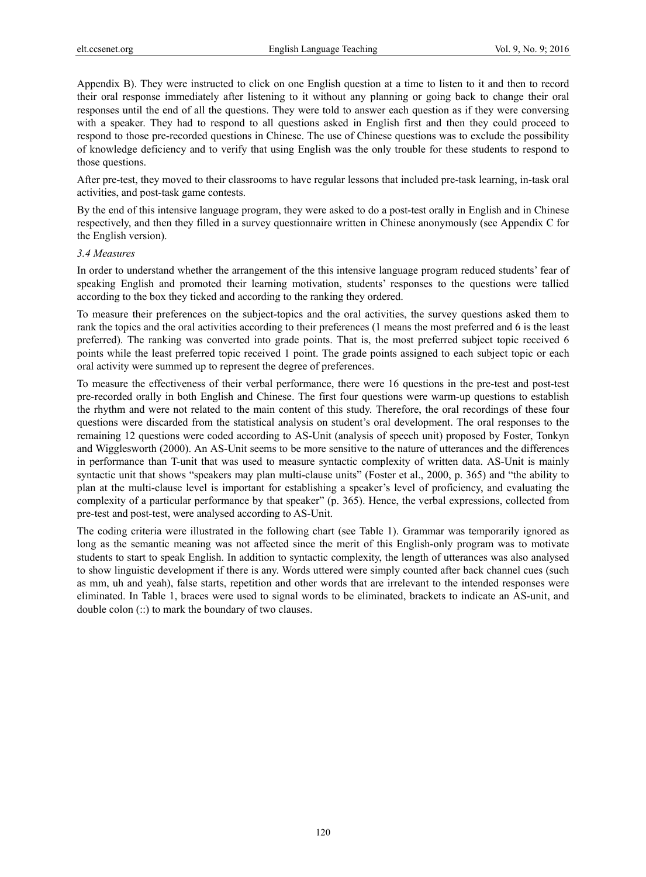Appendix B). They were instructed to click on one English question at a time to listen to it and then to record their oral response immediately after listening to it without any planning or going back to change their oral responses until the end of all the questions. They were told to answer each question as if they were conversing with a speaker. They had to respond to all questions asked in English first and then they could proceed to respond to those pre-recorded questions in Chinese. The use of Chinese questions was to exclude the possibility of knowledge deficiency and to verify that using English was the only trouble for these students to respond to those questions.

After pre-test, they moved to their classrooms to have regular lessons that included pre-task learning, in-task oral activities, and post-task game contests.

By the end of this intensive language program, they were asked to do a post-test orally in English and in Chinese respectively, and then they filled in a survey questionnaire written in Chinese anonymously (see Appendix C for the English version).

#### *3.4 Measures*

In order to understand whether the arrangement of the this intensive language program reduced students' fear of speaking English and promoted their learning motivation, students' responses to the questions were tallied according to the box they ticked and according to the ranking they ordered.

To measure their preferences on the subject-topics and the oral activities, the survey questions asked them to rank the topics and the oral activities according to their preferences (1 means the most preferred and 6 is the least preferred). The ranking was converted into grade points. That is, the most preferred subject topic received 6 points while the least preferred topic received 1 point. The grade points assigned to each subject topic or each oral activity were summed up to represent the degree of preferences.

To measure the effectiveness of their verbal performance, there were 16 questions in the pre-test and post-test pre-recorded orally in both English and Chinese. The first four questions were warm-up questions to establish the rhythm and were not related to the main content of this study. Therefore, the oral recordings of these four questions were discarded from the statistical analysis on student's oral development. The oral responses to the remaining 12 questions were coded according to AS-Unit (analysis of speech unit) proposed by Foster, Tonkyn and Wigglesworth (2000). An AS-Unit seems to be more sensitive to the nature of utterances and the differences in performance than T-unit that was used to measure syntactic complexity of written data. AS-Unit is mainly syntactic unit that shows "speakers may plan multi-clause units" (Foster et al., 2000, p. 365) and "the ability to plan at the multi-clause level is important for establishing a speaker's level of proficiency, and evaluating the complexity of a particular performance by that speaker" (p. 365). Hence, the verbal expressions, collected from pre-test and post-test, were analysed according to AS-Unit.

The coding criteria were illustrated in the following chart (see Table 1). Grammar was temporarily ignored as long as the semantic meaning was not affected since the merit of this English-only program was to motivate students to start to speak English. In addition to syntactic complexity, the length of utterances was also analysed to show linguistic development if there is any. Words uttered were simply counted after back channel cues (such as mm, uh and yeah), false starts, repetition and other words that are irrelevant to the intended responses were eliminated. In Table 1, braces were used to signal words to be eliminated, brackets to indicate an AS-unit, and double colon (::) to mark the boundary of two clauses.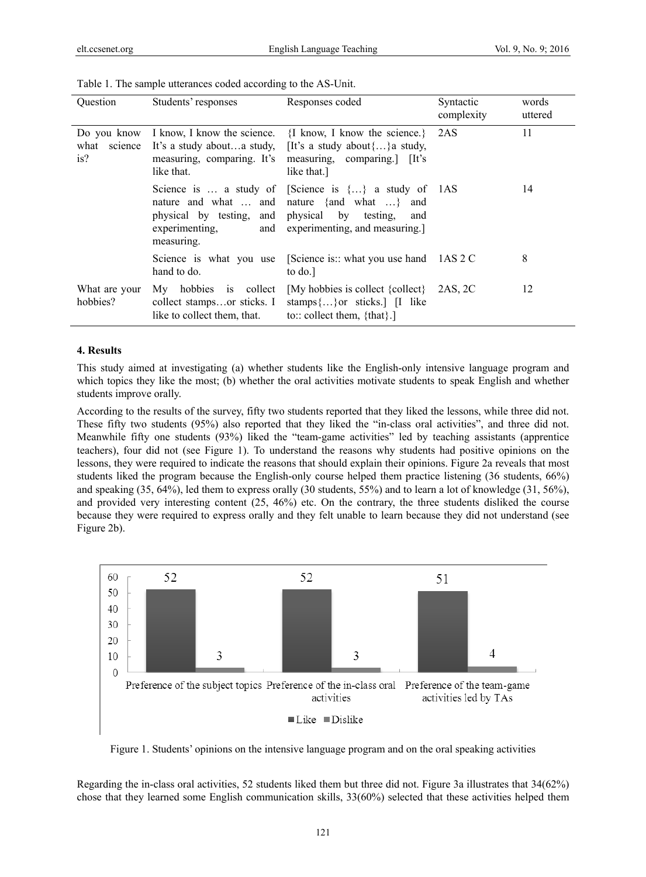| Question                  | Students' responses                                                                  | Responses coded                                                                                                                                                    | Syntactic<br>complexity | words<br>uttered |
|---------------------------|--------------------------------------------------------------------------------------|--------------------------------------------------------------------------------------------------------------------------------------------------------------------|-------------------------|------------------|
| Do you know<br>is?        | I know, I know the science.<br>what science It's a study abouta study,<br>like that. | $\{I \text{ know}, I \text{ know the science.}\}$<br>[It's a study about $\{\}$ a study,<br>measuring, comparing. It's measuring, comparing.] [It's<br>like that.] | 2AS                     | 11               |
|                           | physical by testing, and physical by testing,<br>experimenting,<br>measuring.        | Science is  a study of [Science is {} a study of 1AS<br>nature and what  and nature {and what } and<br>and<br>and experimenting, and measuring.                    |                         | 14               |
|                           | hand to do.                                                                          | Science is what you use [Science is: what you use hand 1AS 2 C<br>to $do.$ ]                                                                                       |                         | 8                |
| What are your<br>hobbies? | My hobbies is collect<br>collect stampsor sticks. I<br>like to collect them, that.   | [My hobbies is collect {collect} $2AS$ , 2C<br>stamps { $\ldots$ } or sticks.] [I like<br>to:: collect them. ${that}$ .                                            |                         | 12               |

Table 1. The sample utterances coded according to the AS-Unit.

#### **4. Results**

This study aimed at investigating (a) whether students like the English-only intensive language program and which topics they like the most; (b) whether the oral activities motivate students to speak English and whether students improve orally.

According to the results of the survey, fifty two students reported that they liked the lessons, while three did not. These fifty two students (95%) also reported that they liked the "in-class oral activities", and three did not. Meanwhile fifty one students (93%) liked the "team-game activities" led by teaching assistants (apprentice teachers), four did not (see Figure 1). To understand the reasons why students had positive opinions on the lessons, they were required to indicate the reasons that should explain their opinions. Figure 2a reveals that most students liked the program because the English-only course helped them practice listening (36 students, 66%) and speaking (35, 64%), led them to express orally (30 students, 55%) and to learn a lot of knowledge (31, 56%), and provided very interesting content (25, 46%) etc. On the contrary, the three students disliked the course because they were required to express orally and they felt unable to learn because they did not understand (see Figure 2b).



Figure 1. Students' opinions on the intensive language program and on the oral speaking activities

Regarding the in-class oral activities, 52 students liked them but three did not. Figure 3a illustrates that 34(62%) chose that they learned some English communication skills, 33(60%) selected that these activities helped them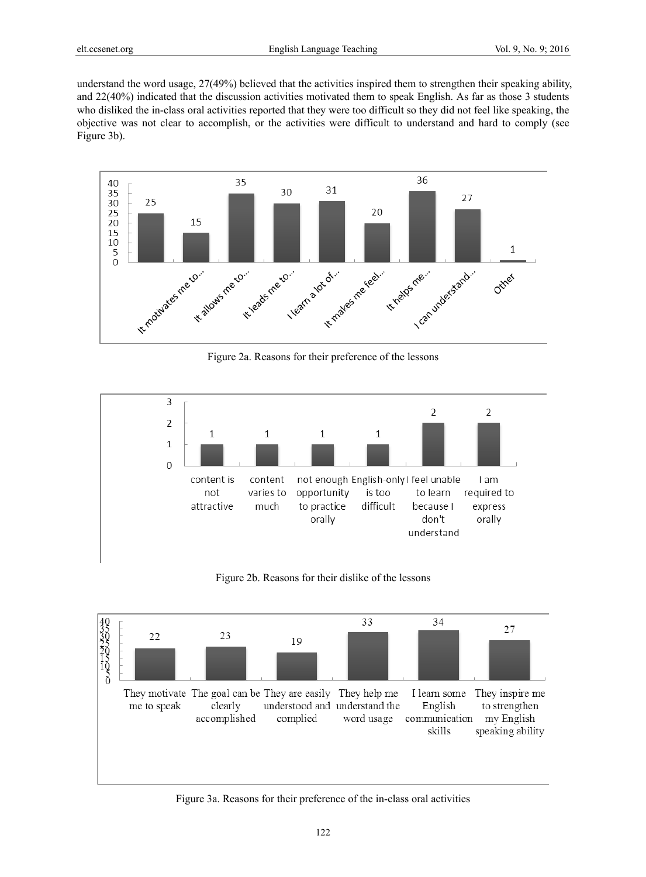understand the word usage, 27(49%) believed that the activities inspired them to strengthen their speaking ability, and 22(40%) indicated that the discussion activities motivated them to speak English. As far as those 3 students who disliked the in-class oral activities reported that they were too difficult so they did not feel like speaking, the objective was not clear to accomplish, or the activities were difficult to understand and hard to comply (see Figure 3b).



Figure 2a. Reasons for their preference of the lessons



Figure 2b. Reasons for their dislike of the lessons



Figure 3a. Reasons for their preference of the in-class oral activities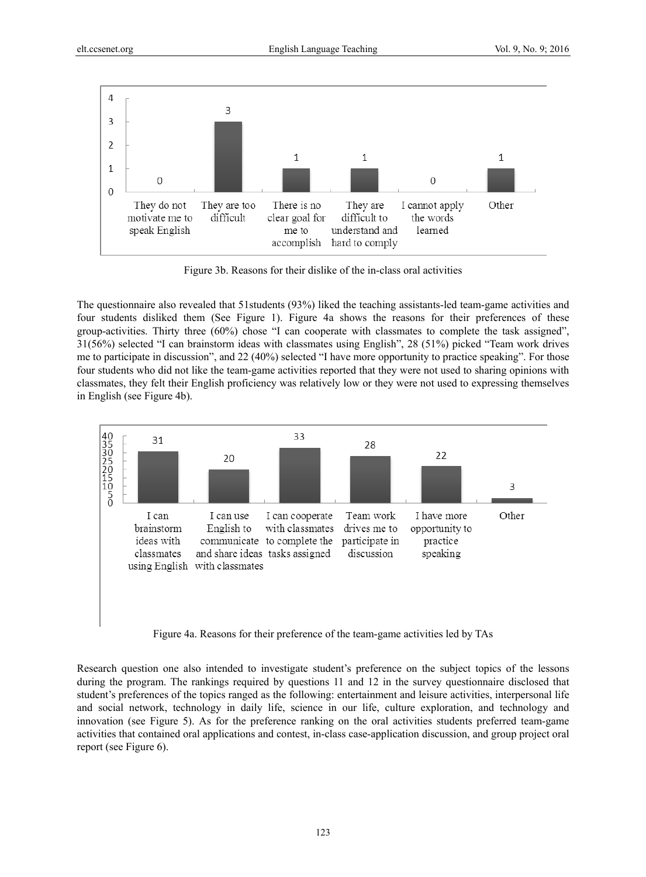

Figure 3b. Reasons for their dislike of the in-class oral activities

The questionnaire also revealed that 51students (93%) liked the teaching assistants-led team-game activities and four students disliked them (See Figure 1). Figure 4a shows the reasons for their preferences of these group-activities. Thirty three (60%) chose "I can cooperate with classmates to complete the task assigned", 31(56%) selected "I can brainstorm ideas with classmates using English", 28 (51%) picked "Team work drives me to participate in discussion", and 22 (40%) selected "I have more opportunity to practice speaking". For those four students who did not like the team-game activities reported that they were not used to sharing opinions with classmates, they felt their English proficiency was relatively low or they were not used to expressing themselves in English (see Figure 4b).



Figure 4a. Reasons for their preference of the team-game activities led by TAs

Research question one also intended to investigate student's preference on the subject topics of the lessons during the program. The rankings required by questions 11 and 12 in the survey questionnaire disclosed that student's preferences of the topics ranged as the following: entertainment and leisure activities, interpersonal life and social network, technology in daily life, science in our life, culture exploration, and technology and innovation (see Figure 5). As for the preference ranking on the oral activities students preferred team-game activities that contained oral applications and contest, in-class case-application discussion, and group project oral report (see Figure 6).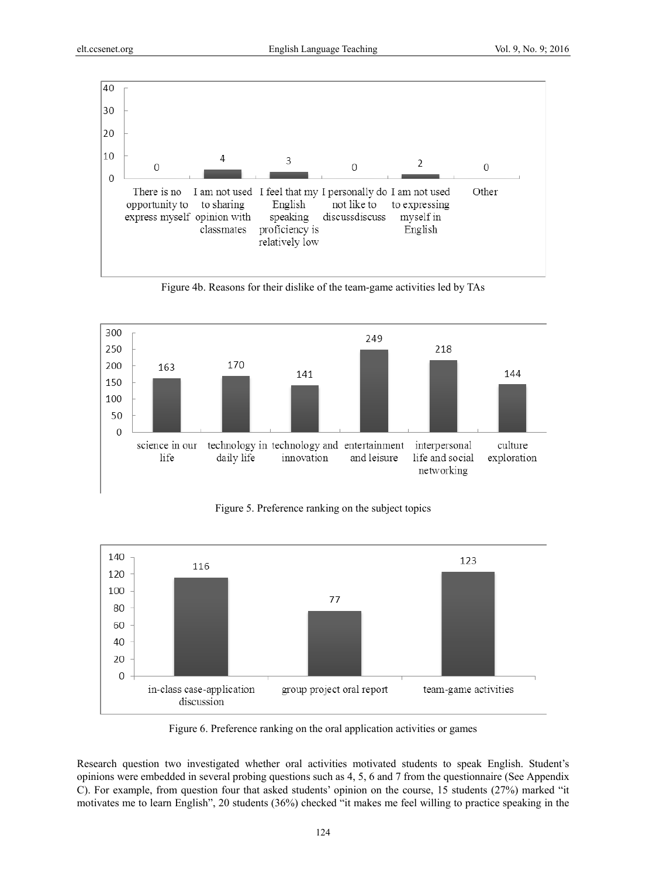

Figure 4b. Reasons for their dislike of the team-game activities led by TAs



Figure 5. Preference ranking on the subject topics



Figure 6. Preference ranking on the oral application activities or games

Research question two investigated whether oral activities motivated students to speak English. Student's opinions were embedded in several probing questions such as 4, 5, 6 and 7 from the questionnaire (See Appendix C). For example, from question four that asked students' opinion on the course, 15 students (27%) marked "it motivates me to learn English", 20 students (36%) checked "it makes me feel willing to practice speaking in the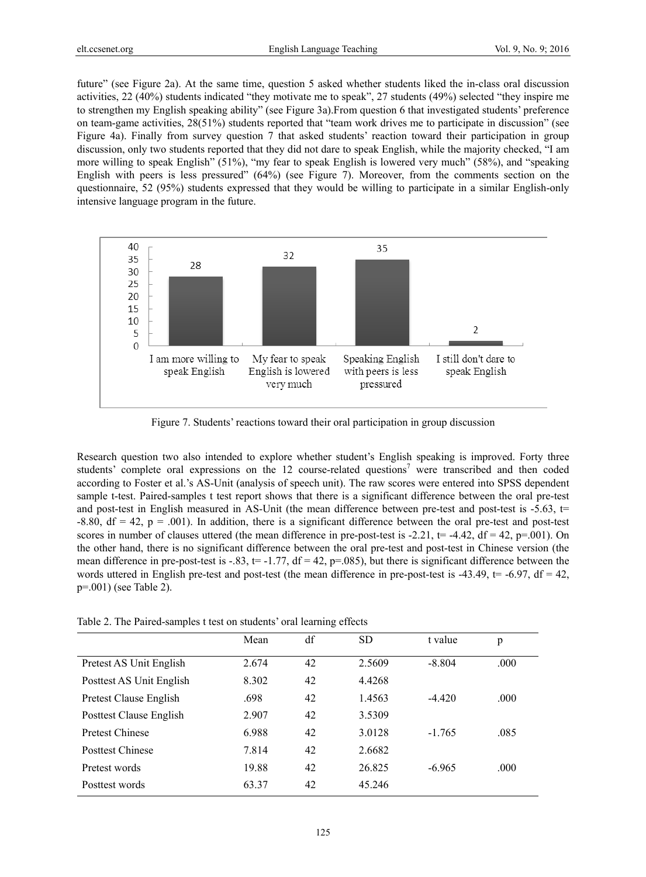future" (see Figure 2a). At the same time, question 5 asked whether students liked the in-class oral discussion activities, 22 (40%) students indicated "they motivate me to speak", 27 students (49%) selected "they inspire me to strengthen my English speaking ability" (see Figure 3a).From question 6 that investigated students' preference on team-game activities, 28(51%) students reported that "team work drives me to participate in discussion" (see Figure 4a). Finally from survey question 7 that asked students' reaction toward their participation in group discussion, only two students reported that they did not dare to speak English, while the majority checked, "I am more willing to speak English" (51%), "my fear to speak English is lowered very much" (58%), and "speaking English with peers is less pressured" (64%) (see Figure 7). Moreover, from the comments section on the questionnaire, 52 (95%) students expressed that they would be willing to participate in a similar English-only intensive language program in the future.



Figure 7. Students' reactions toward their oral participation in group discussion

Research question two also intended to explore whether student's English speaking is improved. Forty three students' complete oral expressions on the 12 course-related questions<sup>7</sup> were transcribed and then coded according to Foster et al.'s AS-Unit (analysis of speech unit). The raw scores were entered into SPSS dependent sample t-test. Paired-samples t test report shows that there is a significant difference between the oral pre-test and post-test in English measured in AS-Unit (the mean difference between pre-test and post-test is -5.63,  $t=$  $-8.80$ , df = 42, p = .001). In addition, there is a significant difference between the oral pre-test and post-test scores in number of clauses uttered (the mean difference in pre-post-test is  $-2.21$ ,  $t = -4.42$ ,  $df = 42$ ,  $p=001$ ). On the other hand, there is no significant difference between the oral pre-test and post-test in Chinese version (the mean difference in pre-post-test is  $-.83$ ,  $t=$  -1.77,  $df = 42$ ,  $p=.085$ ), but there is significant difference between the words uttered in English pre-test and post-test (the mean difference in pre-post-test is -43.49,  $t = -6.97$ ,  $df = 42$ , p=.001) (see Table 2).

| Table 2. The Paired-samples t test on students' oral learning effects |  |
|-----------------------------------------------------------------------|--|
|-----------------------------------------------------------------------|--|

|                          | Mean  | df | <b>SD</b> | t value  | p    |
|--------------------------|-------|----|-----------|----------|------|
| Pretest AS Unit English  | 2.674 | 42 | 2.5609    | $-8.804$ | .000 |
| Posttest AS Unit English | 8.302 | 42 | 4.4268    |          |      |
| Pretest Clause English   | .698  | 42 | 1.4563    | $-4.420$ | .000 |
| Posttest Clause English  | 2.907 | 42 | 3.5309    |          |      |
| <b>Pretest Chinese</b>   | 6.988 | 42 | 3.0128    | $-1.765$ | .085 |
| <b>Posttest Chinese</b>  | 7.814 | 42 | 2.6682    |          |      |
| Pretest words            | 19.88 | 42 | 26.825    | $-6.965$ | .000 |
| Posttest words           | 63.37 | 42 | 45.246    |          |      |
|                          |       |    |           |          |      |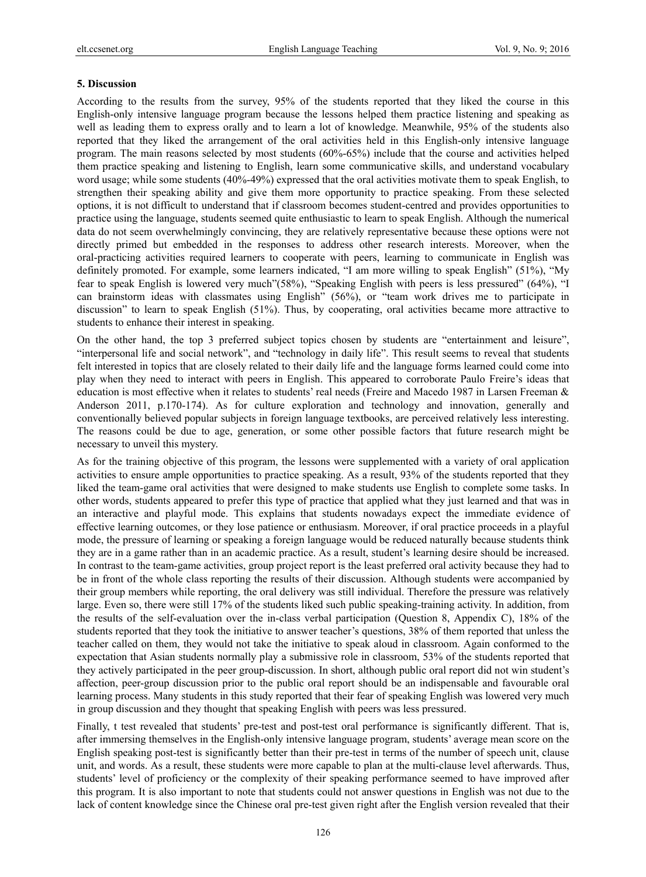#### **5. Discussion**

According to the results from the survey, 95% of the students reported that they liked the course in this English-only intensive language program because the lessons helped them practice listening and speaking as well as leading them to express orally and to learn a lot of knowledge. Meanwhile, 95% of the students also reported that they liked the arrangement of the oral activities held in this English-only intensive language program. The main reasons selected by most students (60%-65%) include that the course and activities helped them practice speaking and listening to English, learn some communicative skills, and understand vocabulary word usage; while some students (40%-49%) expressed that the oral activities motivate them to speak English, to strengthen their speaking ability and give them more opportunity to practice speaking. From these selected options, it is not difficult to understand that if classroom becomes student-centred and provides opportunities to practice using the language, students seemed quite enthusiastic to learn to speak English. Although the numerical data do not seem overwhelmingly convincing, they are relatively representative because these options were not directly primed but embedded in the responses to address other research interests. Moreover, when the oral-practicing activities required learners to cooperate with peers, learning to communicate in English was definitely promoted. For example, some learners indicated, "I am more willing to speak English" (51%), "My fear to speak English is lowered very much"(58%), "Speaking English with peers is less pressured" (64%), "I can brainstorm ideas with classmates using English" (56%), or "team work drives me to participate in discussion" to learn to speak English (51%). Thus, by cooperating, oral activities became more attractive to students to enhance their interest in speaking.

On the other hand, the top 3 preferred subject topics chosen by students are "entertainment and leisure", "interpersonal life and social network", and "technology in daily life". This result seems to reveal that students felt interested in topics that are closely related to their daily life and the language forms learned could come into play when they need to interact with peers in English. This appeared to corroborate Paulo Freire's ideas that education is most effective when it relates to students' real needs (Freire and Macedo 1987 in Larsen Freeman & Anderson 2011, p.170-174). As for culture exploration and technology and innovation, generally and conventionally believed popular subjects in foreign language textbooks, are perceived relatively less interesting. The reasons could be due to age, generation, or some other possible factors that future research might be necessary to unveil this mystery.

As for the training objective of this program, the lessons were supplemented with a variety of oral application activities to ensure ample opportunities to practice speaking. As a result, 93% of the students reported that they liked the team-game oral activities that were designed to make students use English to complete some tasks. In other words, students appeared to prefer this type of practice that applied what they just learned and that was in an interactive and playful mode. This explains that students nowadays expect the immediate evidence of effective learning outcomes, or they lose patience or enthusiasm. Moreover, if oral practice proceeds in a playful mode, the pressure of learning or speaking a foreign language would be reduced naturally because students think they are in a game rather than in an academic practice. As a result, student's learning desire should be increased. In contrast to the team-game activities, group project report is the least preferred oral activity because they had to be in front of the whole class reporting the results of their discussion. Although students were accompanied by their group members while reporting, the oral delivery was still individual. Therefore the pressure was relatively large. Even so, there were still 17% of the students liked such public speaking-training activity. In addition, from the results of the self-evaluation over the in-class verbal participation (Question 8, Appendix C), 18% of the students reported that they took the initiative to answer teacher's questions, 38% of them reported that unless the teacher called on them, they would not take the initiative to speak aloud in classroom. Again conformed to the expectation that Asian students normally play a submissive role in classroom, 53% of the students reported that they actively participated in the peer group-discussion. In short, although public oral report did not win student's affection, peer-group discussion prior to the public oral report should be an indispensable and favourable oral learning process. Many students in this study reported that their fear of speaking English was lowered very much in group discussion and they thought that speaking English with peers was less pressured.

Finally, t test revealed that students' pre-test and post-test oral performance is significantly different. That is, after immersing themselves in the English-only intensive language program, students' average mean score on the English speaking post-test is significantly better than their pre-test in terms of the number of speech unit, clause unit, and words. As a result, these students were more capable to plan at the multi-clause level afterwards. Thus, students' level of proficiency or the complexity of their speaking performance seemed to have improved after this program. It is also important to note that students could not answer questions in English was not due to the lack of content knowledge since the Chinese oral pre-test given right after the English version revealed that their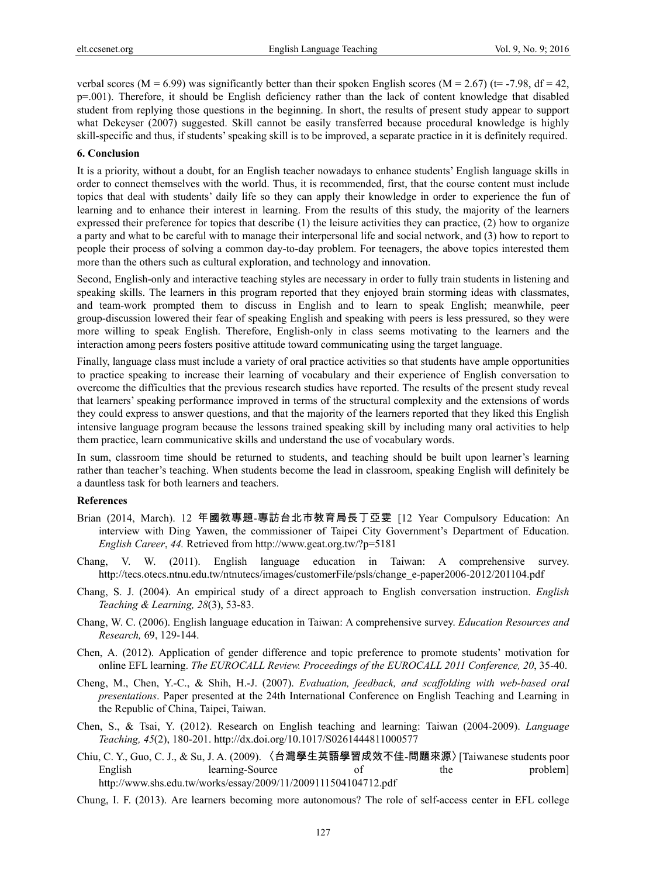verbal scores (M = 6.99) was significantly better than their spoken English scores (M = 2.67) (t= -7.98, df = 42, p=.001). Therefore, it should be English deficiency rather than the lack of content knowledge that disabled student from replying those questions in the beginning. In short, the results of present study appear to support what Dekeyser (2007) suggested. Skill cannot be easily transferred because procedural knowledge is highly skill-specific and thus, if students' speaking skill is to be improved, a separate practice in it is definitely required.

#### **6. Conclusion**

It is a priority, without a doubt, for an English teacher nowadays to enhance students' English language skills in order to connect themselves with the world. Thus, it is recommended, first, that the course content must include topics that deal with students' daily life so they can apply their knowledge in order to experience the fun of learning and to enhance their interest in learning. From the results of this study, the majority of the learners expressed their preference for topics that describe (1) the leisure activities they can practice, (2) how to organize a party and what to be careful with to manage their interpersonal life and social network, and (3) how to report to people their process of solving a common day-to-day problem. For teenagers, the above topics interested them more than the others such as cultural exploration, and technology and innovation.

Second, English-only and interactive teaching styles are necessary in order to fully train students in listening and speaking skills. The learners in this program reported that they enjoyed brain storming ideas with classmates, and team-work prompted them to discuss in English and to learn to speak English; meanwhile, peer group-discussion lowered their fear of speaking English and speaking with peers is less pressured, so they were more willing to speak English. Therefore, English-only in class seems motivating to the learners and the interaction among peers fosters positive attitude toward communicating using the target language.

Finally, language class must include a variety of oral practice activities so that students have ample opportunities to practice speaking to increase their learning of vocabulary and their experience of English conversation to overcome the difficulties that the previous research studies have reported. The results of the present study reveal that learners' speaking performance improved in terms of the structural complexity and the extensions of words they could express to answer questions, and that the majority of the learners reported that they liked this English intensive language program because the lessons trained speaking skill by including many oral activities to help them practice, learn communicative skills and understand the use of vocabulary words.

In sum, classroom time should be returned to students, and teaching should be built upon learner's learning rather than teacher's teaching. When students become the lead in classroom, speaking English will definitely be a dauntless task for both learners and teachers.

#### **References**

- Brian (2014, March). 12 年國教專題-專訪台北市教育局長丁亞雯 [12 Year Compulsory Education: An interview with Ding Yawen, the commissioner of Taipei City Government's Department of Education. *English Career*, *44.* Retrieved from http://www.geat.org.tw/?p=5181
- Chang, V. W. (2011). English language education in Taiwan: A comprehensive survey. http://tecs.otecs.ntnu.edu.tw/ntnutecs/images/customerFile/psls/change\_e-paper2006-2012/201104.pdf
- Chang, S. J. (2004). An empirical study of a direct approach to English conversation instruction. *English Teaching & Learning, 28*(3), 53-83.
- Chang, W. C. (2006). English language education in Taiwan: A comprehensive survey. *Education Resources and Research,* 69, 129-144.
- Chen, A. (2012). Application of gender difference and topic preference to promote students' motivation for online EFL learning. *The EUROCALL Review. Proceedings of the EUROCALL 2011 Conference, 20*, 35-40.
- Cheng, M., Chen, Y.-C., & Shih, H.-J. (2007). *Evaluation, feedback, and scaffolding with web-based oral presentations*. Paper presented at the 24th International Conference on English Teaching and Learning in the Republic of China, Taipei, Taiwan.
- Chen, S., & Tsai, Y. (2012). Research on English teaching and learning: Taiwan (2004-2009). *Language Teaching, 45*(2), 180-201. http://dx.doi.org/10.1017/S0261444811000577
- Chiu, C. Y., Guo, C. J., & Su, J. A. (2009). 〈台灣學生英語學習成效不佳-問題來源〉[Taiwanese students poor English learning-Source of the problem http://www.shs.edu.tw/works/essay/2009/11/2009111504104712.pdf
- Chung, I. F. (2013). Are learners becoming more autonomous? The role of self-access center in EFL college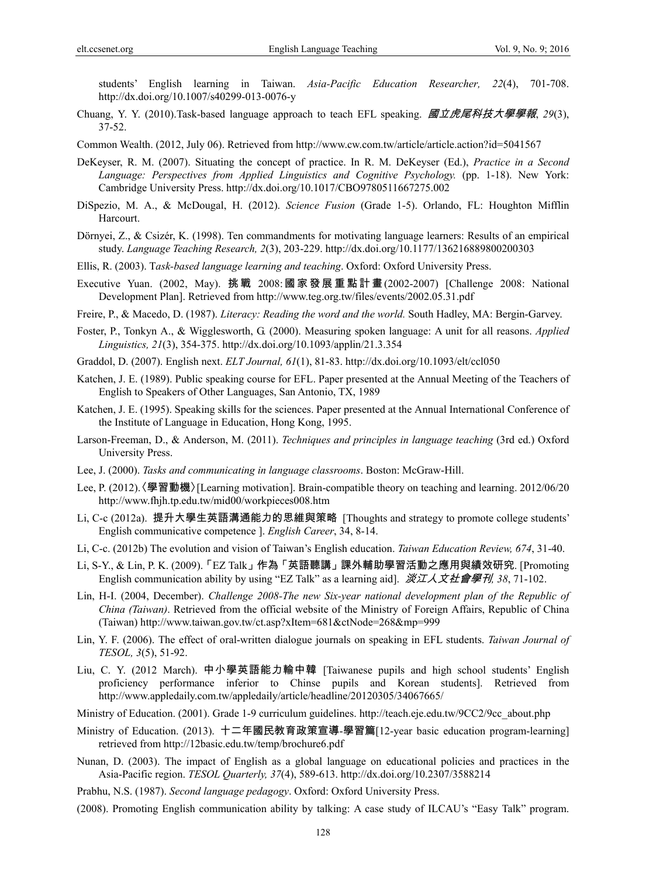students' English learning in Taiwan. *Asia-Pacific Education Researcher, 22*(4), 701-708. http://dx.doi.org/10.1007/s40299-013-0076-y

Chuang, Y. Y. (2010).Task-based language approach to teach EFL speaking. 國立虎尾科技大學學報, *29*(3), 37-52.

Common Wealth. (2012, July 06). Retrieved from http://www.cw.com.tw/article/article.action?id=5041567

- DeKeyser, R. M. (2007). Situating the concept of practice. In R. M. DeKeyser (Ed.), *Practice in a Second*  Language: Perspectives from *Applied Linguistics and Cognitive Psychology.* (pp. 1-18). New York: Cambridge University Press. http://dx.doi.org/10.1017/CBO9780511667275.002
- DiSpezio, M. A., & McDougal, H. (2012). *Science Fusion* (Grade 1-5). Orlando, FL: Houghton Mifflin Harcourt.
- Dörnyei, Z., & Csizér, K. (1998). Ten commandments for motivating language learners: Results of an empirical study. *Language Teaching Research, 2*(3), 203-229. http://dx.doi.org/10.1177/136216889800200303
- Ellis, R. (2003). T*ask-based language learning and teaching*. Oxford: Oxford University Press.
- Executive Yuan. (2002, May). 挑 戰 2008:國家發展重點計畫(2002-2007) [Challenge 2008: National Development Plan]. Retrieved from http://www.teg.org.tw/files/events/2002.05.31.pdf

Freire, P., & Macedo, D. (1987). *Literacy: Reading the word and the world.* South Hadley, MA: Bergin-Garvey.

- Foster, P., Tonkyn A., & Wigglesworth, G. (2000). Measuring spoken language: A unit for all reasons. *Applied Linguistics, 21*(3), 354-375. http://dx.doi.org/10.1093/applin/21.3.354
- Graddol, D. (2007). English next. *ELT Journal, 61*(1), 81-83. http://dx.doi.org/10.1093/elt/ccl050
- Katchen, J. E. (1989). Public speaking course for EFL. Paper presented at the Annual Meeting of the Teachers of English to Speakers of Other Languages, San Antonio, TX, 1989
- Katchen, J. E. (1995). Speaking skills for the sciences. Paper presented at the Annual International Conference of the Institute of Language in Education, Hong Kong, 1995.
- Larson-Freeman, D., & Anderson, M. (2011). *Techniques and principles in language teaching* (3rd ed.) Oxford University Press.
- Lee, J. (2000). *Tasks and communicating in language classrooms*. Boston: McGraw-Hill.
- Lee, P. (2012).〈學習動機〉[Learning motivation]. Brain-compatible theory on teaching and learning. 2012/06/20 http://www.fhjh.tp.edu.tw/mid00/workpieces008.htm
- Li, C-c (2012a). 提升大學生英語溝通能力的思維與策略 [Thoughts and strategy to promote college students' English communicative competence ]. *English Career*, 34, 8-14.
- Li, C-c. (2012b) The evolution and vision of Taiwan's English education. *Taiwan Education Review, 674*, 31-40.
- Li, S-Y., & Lin, P. K. (2009).「EZ Talk」作為「英語聽講」課外輔助學習活動之應用與績效研究. [Promoting English communication ability by using "EZ Talk" as a learning aid]. 淡江人文社會學刊*, 38*, 71-102.
- Lin, H-I. (2004, December). *Challenge 2008-The new Six-year national development plan of the Republic of China (Taiwan)*. Retrieved from the official website of the Ministry of Foreign Affairs, Republic of China (Taiwan) http://www.taiwan.gov.tw/ct.asp?xItem=681&ctNode=268&mp=999
- Lin, Y. F. (2006). The effect of oral-written dialogue journals on speaking in EFL students. *Taiwan Journal of TESOL, 3*(5), 51-92.
- Liu, C. Y. (2012 March). 中小學英語能力輸中韓 [Taiwanese pupils and high school students' English proficiency performance inferior to Chinse pupils and Korean students]. Retrieved from http://www.appledaily.com.tw/appledaily/article/headline/20120305/34067665/
- Ministry of Education. (2001). Grade 1-9 curriculum guidelines. http://teach.eje.edu.tw/9CC2/9cc\_about.php
- Ministry of Education. (2013). 十二年國民教育政策宣導-學習篇[12-year basic education program-learning] retrieved from http://12basic.edu.tw/temp/brochure6.pdf
- Nunan, D. (2003). The impact of English as a global language on educational policies and practices in the Asia-Pacific region. *TESOL Quarterly, 37*(4), 589-613. http://dx.doi.org/10.2307/3588214
- Prabhu, N.S. (1987). *Second language pedagogy*. Oxford: Oxford University Press.
- (2008). Promoting English communication ability by talking: A case study of ILCAU's "Easy Talk" program.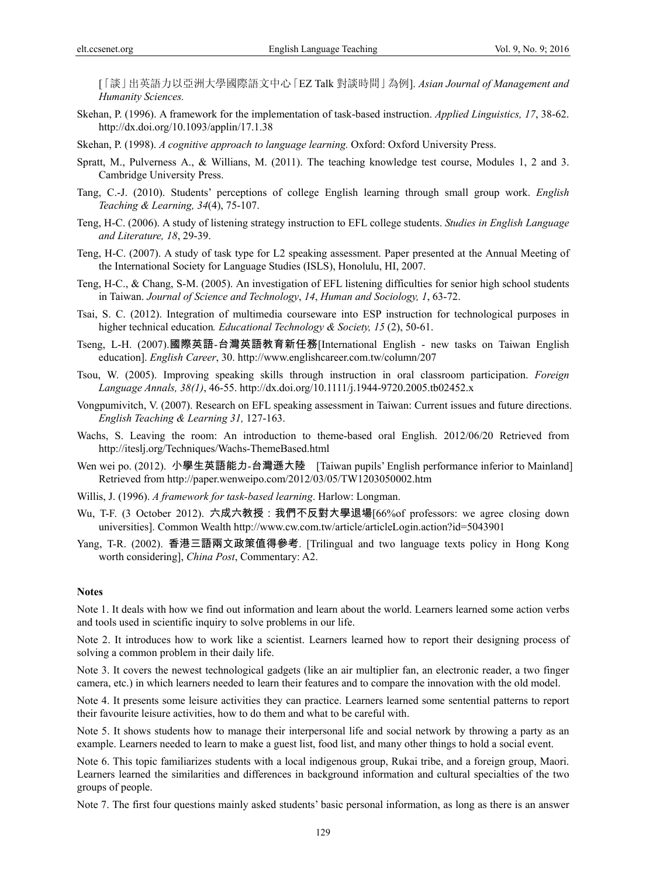[「談」出英語力以亞洲大學國際語文中心「EZ Talk 對談時間」為例]. *Asian Journal of Management and Humanity Sciences.* 

Skehan, P. (1996). A framework for the implementation of task-based instruction. *Applied Linguistics, 17*, 38-62. http://dx.doi.org/10.1093/applin/17.1.38

Skehan, P. (1998). *A cognitive approach to language learning.* Oxford: Oxford University Press.

- Spratt, M., Pulverness A., & Willians, M. (2011). The teaching knowledge test course, Modules 1, 2 and 3. Cambridge University Press.
- Tang, C.-J. (2010). Students' perceptions of college English learning through small group work. *English Teaching & Learning, 34*(4), 75-107.
- Teng, H-C. (2006). A study of listening strategy instruction to EFL college students. *Studies in English Language and Literature, 18*, 29-39.
- Teng, H-C. (2007). A study of task type for L2 speaking assessment. Paper presented at the Annual Meeting of the International Society for Language Studies (ISLS), Honolulu, HI, 2007.
- Teng, H-C., & Chang, S-M. (2005). An investigation of EFL listening difficulties for senior high school students in Taiwan. *Journal of Science and Technology*, *14*, *Human and Sociology, 1*, 63-72.
- Tsai, S. C. (2012). Integration of multimedia courseware into ESP instruction for technological purposes in higher technical education*. Educational Technology & Society, 15* (2), 50-61.
- Tseng, L-H. (2007).國際英語-台灣英語教育新任務[International English new tasks on Taiwan English education]. *English Career*, 30. http://www.englishcareer.com.tw/column/207
- Tsou, W. (2005). Improving speaking skills through instruction in oral classroom participation. *Foreign Language Annals, 38(1)*, 46-55. http://dx.doi.org/10.1111/j.1944-9720.2005.tb02452.x
- Vongpumivitch, V. (2007). Research on EFL speaking assessment in Taiwan: Current issues and future directions. *English Teaching & Learning 31,* 127-163.
- Wachs, S. Leaving the room: An introduction to theme-based oral English. 2012/06/20 Retrieved from http://iteslj.org/Techniques/Wachs-ThemeBased.html
- Wen wei po. (2012). 小學生英語能力-台灣遜大陸 [Taiwan pupils' English performance inferior to Mainland] Retrieved from http://paper.wenweipo.com/2012/03/05/TW1203050002.htm
- Willis, J. (1996). *A framework for task-based learning*. Harlow: Longman.
- Wu, T-F. (3 October 2012). 六成六教授:我們不反對大學退場[66%of professors: we agree closing down universities]. Common Wealth http://www.cw.com.tw/article/articleLogin.action?id=5043901
- Yang, T-R. (2002). 香港三語兩文政策值得參考. [Trilingual and two language texts policy in Hong Kong worth considering], *China Post*, Commentary: A2.

#### **Notes**

Note 1. It deals with how we find out information and learn about the world. Learners learned some action verbs and tools used in scientific inquiry to solve problems in our life.

Note 2. It introduces how to work like a scientist. Learners learned how to report their designing process of solving a common problem in their daily life.

Note 3. It covers the newest technological gadgets (like an air multiplier fan, an electronic reader, a two finger camera, etc.) in which learners needed to learn their features and to compare the innovation with the old model.

Note 4. It presents some leisure activities they can practice. Learners learned some sentential patterns to report their favourite leisure activities, how to do them and what to be careful with.

Note 5. It shows students how to manage their interpersonal life and social network by throwing a party as an example. Learners needed to learn to make a guest list, food list, and many other things to hold a social event.

Note 6. This topic familiarizes students with a local indigenous group, Rukai tribe, and a foreign group, Maori. Learners learned the similarities and differences in background information and cultural specialties of the two groups of people.

Note 7. The first four questions mainly asked students' basic personal information, as long as there is an answer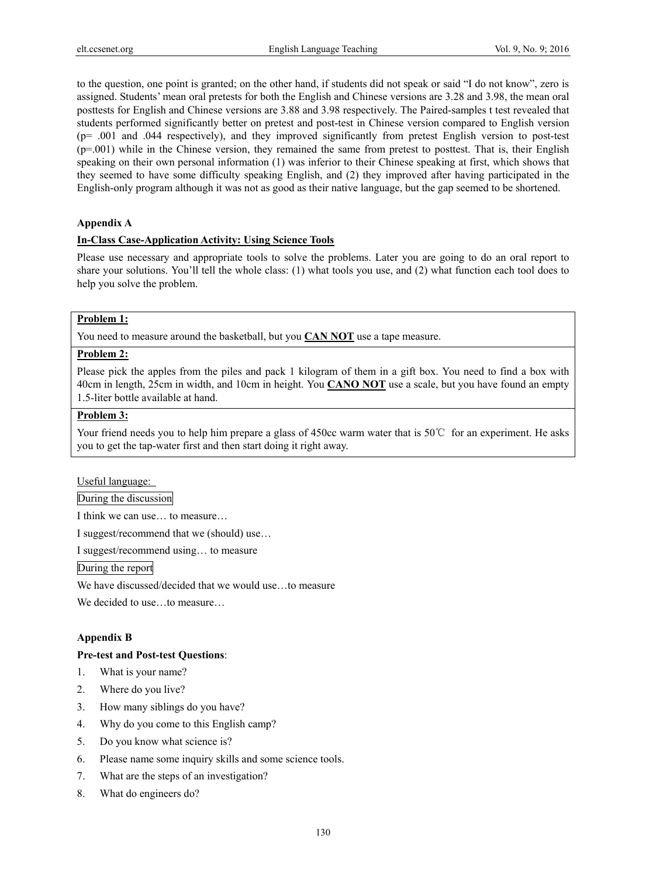to the question, one point is granted; on the other hand, if students did not speak or said "I do not know", zero is assigned. Students' mean oral pretests for both the English and Chinese versions are 3.28 and 3.98, the mean oral posttests for English and Chinese versions are 3.88 and 3.98 respectively. The Paired-samples t test revealed that students performed significantly better on pretest and post-test in Chinese version compared to English version (p= .001 and .044 respectively), and they improved significantly from pretest English version to post-test (p=.001) while in the Chinese version, they remained the same from pretest to posttest. That is, their English speaking on their own personal information (1) was inferior to their Chinese speaking at first, which shows that they seemed to have some difficulty speaking English, and (2) they improved after having participated in the English-only program although it was not as good as their native language, but the gap seemed to be shortened.

# **Appendix A**

# **In-Class Case-Application Activity: Using Science Tools**

Please use necessary and appropriate tools to solve the problems. Later you are going to do an oral report to share your solutions. You'll tell the whole class: (1) what tools you use, and (2) what function each tool does to help you solve the problem.

# **Problem 1:**

You need to measure around the basketball, but you **CAN NOT** use a tape measure.

# **Problem 2:**

Please pick the apples from the piles and pack 1 kilogram of them in a gift box. You need to find a box with 40cm in length, 25cm in width, and 10cm in height. You **CANO NOT** use a scale, but you have found an empty 1.5-liter bottle available at hand.

# **Problem 3:**

Your friend needs you to help him prepare a glass of 450cc warm water that is 50℃ for an experiment. He asks you to get the tap-water first and then start doing it right away.

# Useful language:

During the discussion

I think we can use… to measure…

I suggest/recommend that we (should) use…

I suggest/recommend using… to measure

During the report

We have discussed/decided that we would use...to measure

We decided to use...to measure...

# **Appendix B**

# **Pre-test and Post-test Questions**:

- 1. What is your name?
- 2. Where do you live?
- 3. How many siblings do you have?
- 4. Why do you come to this English camp?
- 5. Do you know what science is?
- 6. Please name some inquiry skills and some science tools.
- 7. What are the steps of an investigation?
- 8. What do engineers do?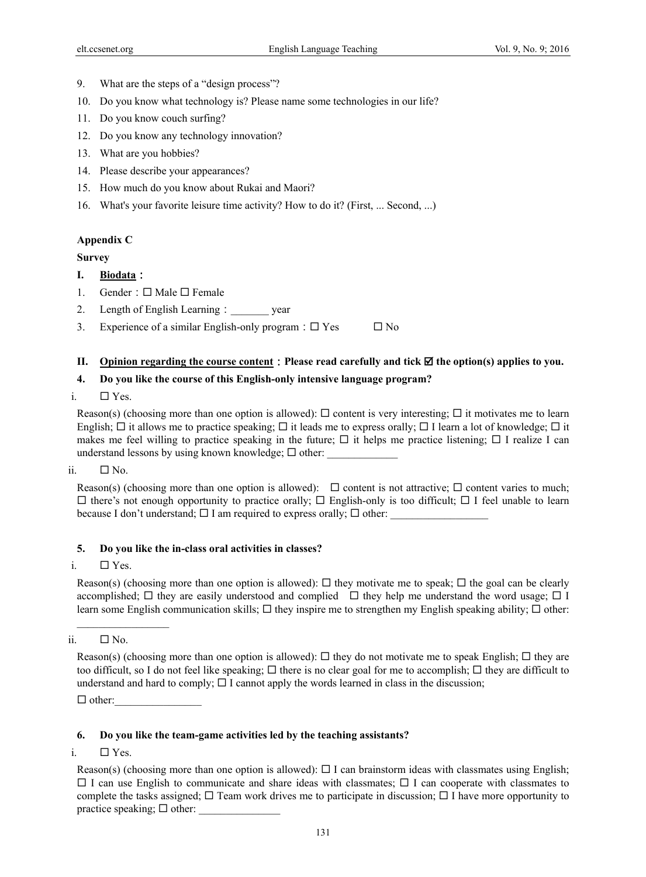- 9. What are the steps of a "design process"?
- 10. Do you know what technology is? Please name some technologies in our life?
- 11. Do you know couch surfing?
- 12. Do you know any technology innovation?
- 13. What are you hobbies?
- 14. Please describe your appearances?
- 15. How much do you know about Rukai and Maori?
- 16. What's your favorite leisure time activity? How to do it? (First, ... Second, ...)

#### **Appendix C**

#### **Survey**

- **I. Biodata**:
- 1. Gender:  $\Box$  Male  $\Box$  Female
- 2. Length of English Learning: year
- 3. Experience of a similar English-only program:  $\Box$  Yes  $\Box$  No

#### **II.** Opinion regarding the course content : Please read carefully and tick  $\mathbb{Z}$  the option(s) applies to you.

## **4. Do you like the course of this English-only intensive language program?**

i.  $\Box$  Yes.

Reason(s) (choosing more than one option is allowed):  $\Box$  content is very interesting;  $\Box$  it motivates me to learn English;  $\Box$  it allows me to practice speaking;  $\Box$  it leads me to express orally;  $\Box$  I learn a lot of knowledge;  $\Box$  it makes me feel willing to practice speaking in the future;  $\Box$  it helps me practice listening;  $\Box$  I realize I can understand lessons by using known knowledge;  $\Box$  other:

ii.  $\Box$  No.

Reason(s) (choosing more than one option is allowed):  $\Box$  content is not attractive;  $\Box$  content varies to much;  $\Box$  there's not enough opportunity to practice orally;  $\Box$  English-only is too difficult;  $\Box$  I feel unable to learn because I don't understand;  $\Box$  I am required to express orally;  $\Box$  other:

#### **5. Do you like the in-class oral activities in classes?**

# i.  $\Box$  Yes.

Reason(s) (choosing more than one option is allowed):  $\Box$  they motivate me to speak;  $\Box$  the goal can be clearly accomplished;  $\Box$  they are easily understood and complied  $\Box$  they help me understand the word usage;  $\Box$  I learn some English communication skills;  $\Box$  they inspire me to strengthen my English speaking ability;  $\Box$  other:

ii.  $\square$  No.

 $\mathcal{L}_\text{max}$ 

Reason(s) (choosing more than one option is allowed):  $\Box$  they do not motivate me to speak English;  $\Box$  they are too difficult, so I do not feel like speaking;  $\Box$  there is no clear goal for me to accomplish;  $\Box$  they are difficult to understand and hard to comply;  $\Box$  I cannot apply the words learned in class in the discussion;

 $\Box$  other:

#### **6. Do you like the team-game activities led by the teaching assistants?**

i.  $\Box$  Yes.

Reason(s) (choosing more than one option is allowed):  $\Box$  I can brainstorm ideas with classmates using English;  $\Box$  I can use English to communicate and share ideas with classmates;  $\Box$  I can cooperate with classmates to complete the tasks assigned;  $\Box$  Team work drives me to participate in discussion;  $\Box$  I have more opportunity to practice speaking;  $\square$  other: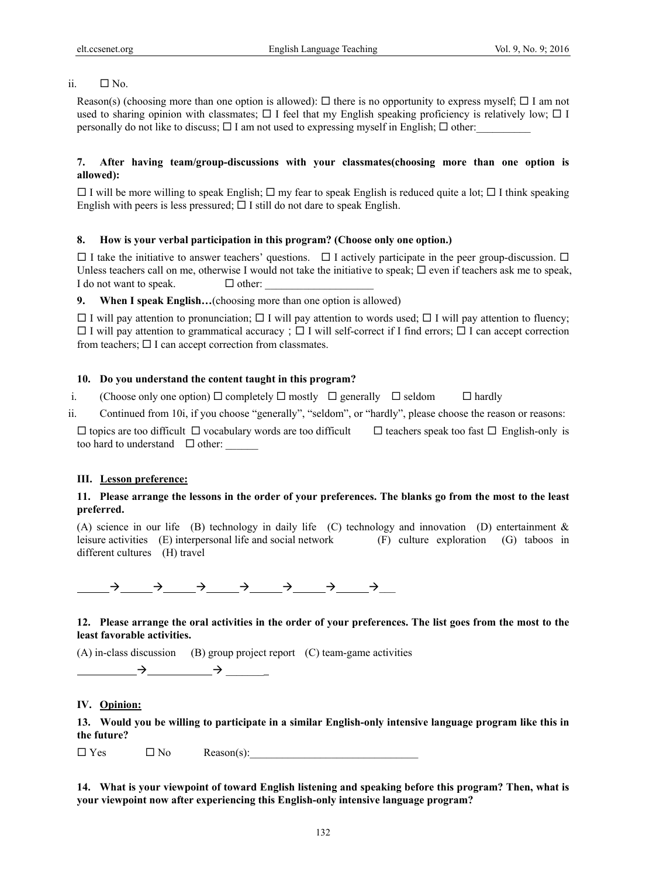## ii.  $\Box$  No.

Reason(s) (choosing more than one option is allowed):  $\Box$  there is no opportunity to express myself;  $\Box$  I am not used to sharing opinion with classmates;  $\Box$  I feel that my English speaking proficiency is relatively low;  $\Box$  I personally do not like to discuss;  $\Box$  I am not used to expressing myself in English;  $\Box$  other:

## **7. After having team/group-discussions with your classmates(choosing more than one option is allowed):**

 $\Box$  I will be more willing to speak English;  $\Box$  my fear to speak English is reduced quite a lot;  $\Box$  I think speaking English with peers is less pressured;  $\Box$  I still do not dare to speak English.

# **8. How is your verbal participation in this program? (Choose only one option.)**

 $\Box$  I take the initiative to answer teachers' questions.  $\Box$  I actively participate in the peer group-discussion.  $\Box$ Unless teachers call on me, otherwise I would not take the initiative to speak;  $\Box$  even if teachers ask me to speak, I do not want to speak.  $\Box$  other:

# **9. When I speak English…**(choosing more than one option is allowed)

 $\Box$  I will pay attention to pronunciation;  $\Box$  I will pay attention to words used;  $\Box$  I will pay attention to fluency;  $\Box$  I will pay attention to grammatical accuracy;  $\Box$  I will self-correct if I find errors;  $\Box$  I can accept correction from teachers;  $\Box$  I can accept correction from classmates.

#### **10. Do you understand the content taught in this program?**

i. (Choose only one option)  $\Box$  completely  $\Box$  mostly  $\Box$  generally  $\Box$  seldom  $\Box$  hardly

ii. Continued from 10i, if you choose "generally", "seldom", or "hardly", please choose the reason or reasons:

 $\Box$  topics are too difficult  $\Box$  vocabulary words are too difficult  $\Box$  teachers speak too fast  $\Box$  English-only is too hard to understand  $\Box$  other:

#### **III. Lesson preference:**

#### **11. Please arrange the lessons in the order of your preferences. The blanks go from the most to the least preferred.**

(A) science in our life (B) technology in daily life (C) technology and innovation (D) entertainment & leisure activities (E) interpersonal life and social network (F) culture exploration (G) taboos in different cultures (H) travel

 $\rightarrow \qquad \rightarrow \qquad \rightarrow \qquad \rightarrow \qquad \rightarrow \qquad \rightarrow$ 

# **12. Please arrange the oral activities in the order of your preferences. The list goes from the most to the least favorable activities.**

(A) in-class discussion (B) group project report (C) team-game activities  $\rightarrow$ 

# **IV. Opinion:**

**13. Would you be willing to participate in a similar English-only intensive language program like this in the future?** 

 $\Box$  Yes  $\Box$  No Reason(s):

**14. What is your viewpoint of toward English listening and speaking before this program? Then, what is your viewpoint now after experiencing this English-only intensive language program?**